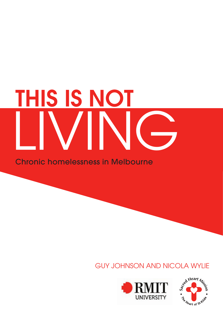# THIS IS NOT LIVING

Chronic homelessness in Melbourne

### GUY JOHNSON AND NICOLA WYLIE



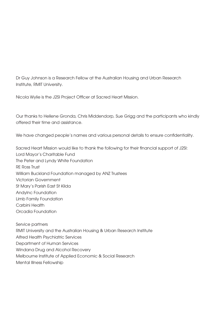Dr Guy Johnson is a Research Fellow at the Australian Housing and Urban Research Institute, RMIT University.

Nicola Wylie is the J2SI Project Officer at Sacred Heart Mission.

Our thanks to Hellene Gronda, Chris Middendorp, Sue Grigg and the participants who kindly offered their time and assistance.

We have changed people's names and various personal details to ensure confidentiality.

Sacred Heart Mission would like to thank the following for their financial support of J2SI: Lord Mayor's Charitable Fund The Peter and Lyndy White Foundation RE Ross Trust William Buckland Foundation managed by ANZ Trustees Victorian Government St Mary's Parish East St Kilda AndyInc Foundation Limb Family Foundation Carbini Health Orcadia Foundation

Service partners RMIT University and the Australian Housing & Urban Research Institute Alfred Health Psychiatric Services Department of Human Services Windana Drug and Alcohol Recovery Melbourne Institute of Applied Economic & Social Research Mental Illness Fellowship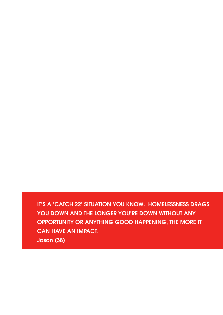IT'S A 'CATCH 22' SITUATION YOU KNOW. HOMELESSNESS DRAGS YOU DOWN AND THE LONGER YOU'RE DOWN WITHOUT ANY OPPORTUNITY OR ANYTHING GOOD HAPPENING, THE MORE IT CAN HAVE AN IMPACT. Jason (38)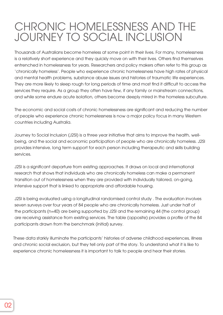### CHRONIC HOMELESSNESS AND THE JOURNEY TO SOCIAL INCLUSION

Thousands of Australians become homeless at some point in their lives. For many, homelessness is a relatively short experience and they quickly move on with their lives. Others find themselves entrenched in homelessness for years. Researchers and policy makers often refer to this group as 'chronically homeless'. People who experience chronic homelessness have high rates of physical and mental health problems, substance abuse issues and histories of traumatic life experiences. They are more likely to sleep rough for long periods of time and most find it difficult to access the services they require. As a group they often have few, if any family or mainstream connections, and while some endure acute isolation, others become deeply mired in the homeless subculture.

The economic and social costs of chronic homelessness are significant and reducing the number of people who experience chronic homelessness is now a major policy focus in many Western countries including Australia.

Journey to Social Inclusion (J2SI) is a three year initiative that aims to improve the health, wellbeing, and the social and economic participation of people who are chronically homeless. J2SI provides intensive, long term support for each person including therapeutic and skills building services.

J2SI is a significant departure from existing approaches. It draws on local and international research that shows that individuals who are chronically homeless can make a permanent transition out of homelessness when they are provided with individually tailored, on-going, intensive support that is linked to appropriate and affordable housing.

participants drawn from the benchmark (initial) survey. J2SI is being evaluated using a longitudinal randomised control study . The evaluation involves seven surveys over four years of 84 people who are chronically homeless. Just under half of the participants (n=40) are being supported by J2SI and the remaining 44 (the control group) are receiving assistance from existing services. The table (opposite) provides a profile of the 84

OPPORTUNITY OR ANYTHING GOOD HAPPENING, THE MORE IT These data starkly illuminate the participants' histories of adverse childhood experiences, illness experience chronic homelessness it is important to talk to people and hear their stories. and chronic social exclusion, but they tell only part of the story. To understand what it is like to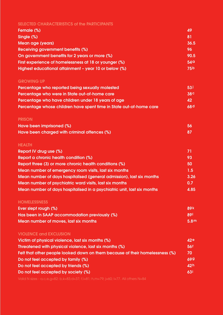### SELECTED CHARACTERISTICS of the PARTICIPANTS

| Female (%)                                            | 49              |
|-------------------------------------------------------|-----------------|
| Single (%)                                            | 81              |
| Mean age (years)                                      | 36.5            |
| <b>Receiving government benefits (%)</b>              | 96              |
| On government benefits for 2 years or more (%)        | 90.5            |
| First experience of homelessness at 18 or younger (%) | 54 <sub>a</sub> |
| Highest educational attainment - year 10 or below (%) | 75b             |

#### GROWING UP

| Percentage who reported being sexually molested                     | 53 <sub>1</sub> |
|---------------------------------------------------------------------|-----------------|
| Percentage who were in State out-of-home care                       | 38 <sup>c</sup> |
| Percentage who have children under 18 years of age                  | 42              |
| Percentage whose children have spent time in State out-of-home care | 68d             |

#### PRISON

| Have been imprisoned (%)                     | -56 |
|----------------------------------------------|-----|
| Have been charged with criminal offences (%) |     |

### HEALTH

| Report IV drug use (%)                                                  | 71   |
|-------------------------------------------------------------------------|------|
| Report a chronic health condition (%)                                   | 93   |
| Report three (3) or more chronic health conditions (%)                  | 50   |
| Mean number of emergency room visits, last six months                   | 1.5  |
| Mean number of days hospitalised (general admission), last six months   | 3.26 |
| Mean number of psychiatric ward visits, last six months                 | 0.7  |
| Mean number of days hospitalised in a psychiatric unit, last six months | 4.85 |

### **HOMELESSNESS**

| Ever slept rough (%)                          | <b>89 k</b> |
|-----------------------------------------------|-------------|
| Has been in SAAP accommodation previously (%) | <b>891</b>  |
| Mean number of moves, last six months         | 5.8m        |

### VIOLENCE and EXCLUSION

| Victim of physical violence, last six months (%)                             | 42e        |
|------------------------------------------------------------------------------|------------|
| Threatened with physical violence, last six months (%)                       | <b>56f</b> |
| Felt that other people looked down on them because of their homelessness (%) | 70         |
| Do not feel accepted by family (%)                                           | 699        |
| Do not feel accepted by friends (%)                                          | 42h        |
| Do not feel accepted by society (%)                                          | <b>631</b> |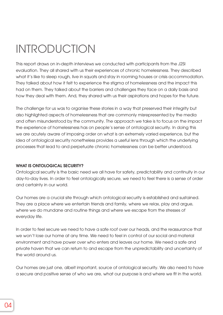# INTRODUCTION

This report draws on in-depth interviews we conducted with participants from the J2SI evaluation. They all shared with us their experiences of chronic homelessness. They described what it's like to sleep rough, live in squats and stay in rooming houses or crisis accommodation. They talked about how it felt to experience the stigma of homelessness and the impact this had on them. They talked about the barriers and challenges they face on a daily basis and how they deal with them. And, they shared with us their aspirations and hopes for the future.

The challenge for us was to organise these stories in a way that preserved their integrity but also highlighted aspects of homelessness that are commonly misrepresented by the media and often misunderstood by the community. The approach we take is to focus on the impact the experience of homelessness has on people's sense of ontological security. In doing this we are acutely aware of imposing order on what is an extremely varied experience, but the idea of ontological security nonetheless provides a useful lens through which the underlying processes that lead to and perpetuate chronic homelessness can be better understood.

#### WHAT IS ONTOLOGICAL SECURITY?

Ontological security is the basic need we all have for safety, predictability and continuity in our day-to-day lives. In order to feel ontologically secure, we need to feel there is a sense of order and certainty in our world.

Our homes are a crucial site through which ontological security is established and sustained. They are a place where we entertain friends and family, where we relax, play and argue, where we do mundane and routine things and where we escape from the stresses of everyday life.

In order to feel secure we need to have a safe roof over our heads, and the reassurance that we won't lose our home at any time. We need to feel in control of our social and material environment and have power over who enters and leaves our home. We need a safe and private haven that we can return to and escape from the unpredictability and uncertainty of the world around us.

Our homes are just one, albeit important, source of ontological security. We also need to have a secure and positive sense of who we are, what our purpose is and where we fit in the world.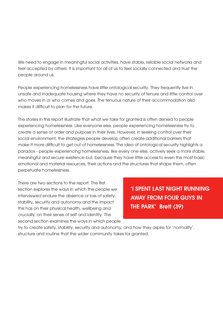We need to engage in meaningful social activities, have stable, reliable social networks and feel accepted by others. It is important for all of us to feel socially connected and trust the people around us.

People experiencing homelessness have little ontological security. They frequently live in unsafe and inadequate housing where they have no security of tenure and little control over who moves in or who comes and goes. The tenuous nature of their accommodation also makes it difficult to plan for the future.

The stories in this report illustrate that what we take for granted is often denied to people experiencing homelessness. Like everyone else, people experiencing homelessness try to create a sense of order and purpose in their lives. However, in seeking control over their social environment, the strategies people develop often create additional barriers that make it more difficult to get out of homelessness. The idea of ontological security highlights a paradox - people experiencing homelessness, like every one else, actively seek a more stable, meaningful and secure existence but, because they have little access to even the most basic emotional and material resources, their actions and the structures that shape them, often perpetuate homelessness.

There are two sections to the report. The first section explores the ways in which the people we interviewed endure the absence or loss of safety, stability, security and autonomy and the impact this has on their physical health, wellbeing and crucially, on their sense of self and identity. The second section examines the ways in which people

'I SPENT LAST NIGHT RUNNING AWAY FROM FOUR GUYS IN THE PARK' Brett (39)

try to create safety, stability, security and autonomy, and how they aspire for 'normality', structure and routine that the wider community takes for granted.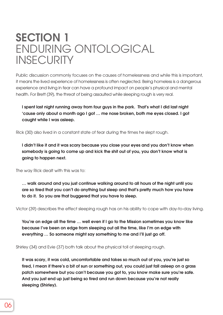### SECTION 1 ENDURING ONTOLOGICAL **INSECURITY**

Public discussion commonly focuses on the causes of homelessness and while this is important, it means the lived experience of homelessness is often neglected. Being homeless is a dangerous experience and living in fear can have a profound impact on people's physical and mental health. For Brett (39), the threat of being assaulted while sleeping rough is very real.

I spent last night running away from four guys in the park. That's what I did last night 'cause only about a month ago I got … me nose broken, both me eyes closed. I got caught while I was asleep.

Rick (30) also lived in a constant state of fear during the times he slept rough.

I didn't like it and it was scary because you close your eyes and you don't know when somebody is going to come up and kick the shit out of you, you don't know what is going to happen next.

The way Rick dealt with this was to:

… walk around and you just continue walking around to all hours of the night until you are so tired that you can't do anything but sleep and that's pretty much how you have to do it. So you are that buggered that you have to sleep.

Victor (39) describes the effect sleeping rough has on his ability to cope with day-to-day living.

You're on edge all the time … well even if I go to the Mission sometimes you know like because I've been on edge from sleeping out all the time, like I'm on edge with everything … So someone might say something to me and I'll just go off.

Shirley (34) and Evie (37) both talk about the physical toll of sleeping rough.

It was scary, it was cold, uncomfortable and takes so much out of you, you're just so tired, I mean if there's a bit of sun or something out, you could just fall asleep on a grass patch somewhere but you can't because you got to, you know make sure you're safe. And you just end up just being so tired and run down because you're not really sleeping (Shirley).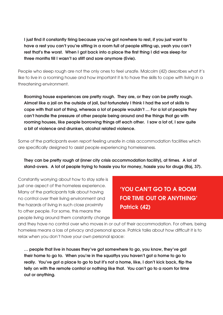I just find it constantly tiring because you've got nowhere to rest, if you just want to have a rest you can't you're sitting in a room full of people sitting up, yeah you can't rest that's the worst. When I got back into a place the first thing I did was sleep for three months till I wasn't so stiff and sore anymore (Evie).

People who sleep rough are not the only ones to feel unsafe. Malcolm (42) describes what it's like to live in a rooming house and how important it is to have the skills to cope with living in a threatening environment.

Rooming house experiences are pretty rough. They are, or they can be pretty rough. Almost like a jail on the outside of jail, but fortunately I think I had the sort of skills to cope with that sort of thing, whereas a lot of people wouldn't … For a lot of people they can't handle the pressure of other people being around and the things that go with rooming houses, like people borrowing things off each other. I saw a lot of, I saw quite a bit of violence and drunken, alcohol related violence.

Some of the participants even report feeling unsafe in crisis accommodation facilities which are specifically designed to assist people experiencing homelessness.

They can be pretty rough at [inner city crisis accommodation facility], at times. A lot of stand-overs. A lot of people trying to hassle you for money, hassle you for drugs (Raj, 37).

Constantly worrying about how to stay safe is just one aspect of the homeless experience. Many of the participants talk about having no control over their living environment and the hazards of living in such close proximity to other people. For some, this means the people living around them constantly change

'YOU CAN'T GO TO A ROOM FOR TIME OUT OR ANYTHING' Patrick (42)

and they have no control over who moves in or out of their accommodation. For others, being homeless means a loss of privacy and personal space. Patrick talks about how difficult it is to relax when you don't have your own personal space:

… people that live in houses they've got somewhere to go, you know, they've got their home to go to. When you're in the squattys you haven't got a home to go to really. You've got a place to go to but it's not a home, like, I don't kick back, flip the telly on with the remote control or nothing like that. You can't go to a room for time out or anything.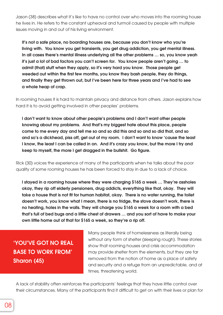Jason (38) describes what it's like to have no control over who moves into the rooming house he lives in. He refers to the constant upheaval and turmoil caused by people with multiple issues moving in and out of his living environment.

It's not a safe place, no boarding houses are, because you don't know who you're living with. You know you get transients, you get drug addiction, you get mental illness. In all cases there's mental illness underlying all the other problems ... so, you know yeah it's just a lot of bad factors you can't screen for. You know people aren't going … to admit (that) stuff when they apply, so it's very hard you know. Those people get weeded out within the first few months, you know they bash people, they do things, and finally they get thrown out, but I've been here for three years and I've had to see a whole heap of crap.

In rooming houses it is hard to maintain privacy and distance from others. Jason explains how hard it is to avoid getting involved in other peoples' problems.

I don't want to know about other people's problems and I don't want other people knowing about my problems. And that's my biggest hate about this place, people come to me every day and tell me so and so did this and so and so did that, and so and so's a dickhead, piss off, get out of my room. I don't want to know 'cause the least I know, the least I can be called in on. And it's crazy you know, but the more I try and keep to myself, the more I get dragged in the bullshit. Go figure.

Rick (30) voices the experience of many of the participants when he talks about the poor quality of some rooming houses he has been forced to stay in due to a lack of choice.

I stayed in a rooming house where they were charging \$165 a week … They're assholes okay, they rip off elderly pensioners, drug addicts, everything like that, okay. They will take a house that is not fit for human habitat, okay. There is no water running, the toilet doesn't work, you know what I mean, there is no fridge, the stove doesn't work, there is no heating, holes in the walls. They will charge you \$165 a week for a room with a bed that's full of bed bugs and a little chest of drawers … and you sort of have to make your own little home out of that for \$165 a week, so they're a rip off.

### 'YOU'VE GOT NO REAL BASE TO WORK FROM' Sharon (45)

Many people think of homelessness as literally being without any form of shelter (sleeping rough). These stories show that rooming houses and crisis accommodation may provide shelter from the elements, but they are far removed from the notion of home as a place of safety and security and a refuge from an unpredictable, and at times, threatening world.

A lack of stability often reinforces the participants' feelings that they have little control over their circumstances. Many of the participants find it difficult to get on with their lives or plan for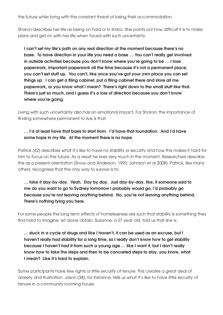the future while living with the constant threat of losing their accommodation.

Sharon describes her life as being on hold or in limbo. She points out how difficult it is to make plans and get on with her life when faced with such uncertainty.

I can't set my life's path on any real direction at the moment because there's no base. To have direction in your life you need a base … You can't really get involved in outside activities because you don't know where you're going to be … I lose paperwork, important paperwork all the time because it's not a permanent place, you can't set stuff up. You can't, like once you've got your own place you can set things up. I can get a filing cabinet, put a filing cabinet there and store all me paperwork, or you know what I mean? There's right down to the small stuff like that. There's just so much, and I guess it's a loss of direction because you don't know where you're going.

Living with such uncertainty also has an emotional impact. For Sharon, the importance of finding somewhere permanent to live is that:

### … I'd at least have that basis to start from. I'd have that foundation. And I'd have some hope in my life. At the moment there is no hope.

Patrick (42) describes what it's like to have no stability or security and how this makes it hard for him to focus on the future. As a result he lives very much in the moment. Researchers describe this as a present orientation (Snow and Anderson, 1993; Johnson et al 2008). Patrick, like many others, recognises that the only way to survive is to:

… take it day-by-day. Yeah. Day by day. Just day-by-day, like, if someone said to me do you want to go to Sydney tomorrow I probably would go, I'd probably go because you're not leaving anything behind. No, you're not leaving anything behind. There's nothing tying you here.

For some people the long term effects of homelessness are such that stability is something they find hard to imagine, let alone obtain. Suzanne, a 27 year old, told us that she is:

… stuck in a cycle of drugs and like I haven't, it can be used as an excuse, but I haven't really had stability for a long time, so I really don't know how to get stability because I haven't had it from such a young age … like I want it, but I don't really know how to take the steps and then to be concreted steps to stay, you know, what I mean? Like it's hard to explain.

Some participants have few rights or little security of tenure. This creates a great deal of anxiety and frustration. Jason (38), for instance, tells us what it's like to have little security of tenure in a community rooming house.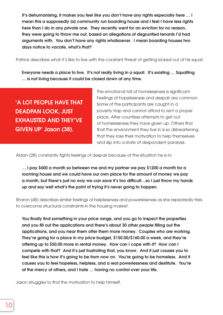It's dehumanising, it makes you feel like you don't have any rights especially here ... I mean this a supposedly [a] community run boarding house and I feel I have less rights here than I do in any private one. They recently went for an eviction for no reason, they were going to throw me out, based on allegations of disgruntled tenants I'd had arguments with. You don't have any rights whatsoever. I mean boarding houses two days notice to vacate, what's that?

Patrick describes what it's like to live with the constant threat of getting kicked out of his squat.

Everyone needs a place to live. It's not really living in a squat. It's existing … Squatting … is not living because it could be closed down at any time.

'A LOT PEOPLE HAVE THAT DEADPAN LOOK, JUST EXHAUSTED AND THEY'VE GIVEN UP' Jason (38).

The emotional toll of homelessness is significant. Feelings of hopelessness and despair are common. Some of the participants are caught in a poverty trap and cannot afford to rent a proper place. After countless attempts to get out of homelessness they have given up. Others find that the environment they live in is so disheartening that they lose their motivation to help themselves and slip into a state of despondent paralysis.

Aidan (28) constantly fights feelings of despair because of the situation he is in:

… I pay \$600 a month so between me and my partner we pay \$1200 a month for a rooming house and we could have our own place for the amount of money we pay a month, but there's just no way we can save it's too difficult…so I just throw my hands up and say well what's the point of trying it's never going to happen.

Sharon (45) describes similar feelings of helplessness and powerlessness as she repeatedly tries to overcome structural constraints in the housing market.

You finally find something in your price range, and you go to inspect the properties and you fill out the applications and there's about 30 other people filling out the applications, and you hear them offer them more money. Couples who are working. They're going for a place in my price budget, \$150.00/\$160.00 a week, and they're offering up to \$50.00 more in rental money. How can I cope with it? How can I compete with that? And it's just frustrating that, you know. And it just causes you to feel like this is how it's going to be from now on. You're going to be homeless. And it causes you to feel hopeless, helpless, and a real powerlessness and destitute. You're at the mercy of others, and I hate … having no control over your life.

Jason struggles to find the motivation to help himself.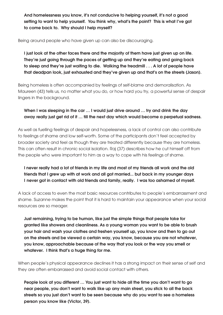And homelessness you know, it's not conducive to helping yourself, it's not a good setting to want to help yourself. You think why, what's the point? This is what I've got to come back to. Why should I help myself?

Being around people who have given up can also be discouraging.

I just look at the other faces there and the majority of them have just given up on life. They're just going through the paces of getting up and they're eating and going back to sleep and they're just waiting to die. Walking the treadmill . . . A lot of people have that deadpan look, just exhausted and they've given up and that's on the streets (Jason).

Being homeless is often accompanied by feelings of self-blame and demoralisation. As Maureen (43) tells us, no matter what you do, or how hard you try, a powerful sense of despair lingers in the background.

### When I was sleeping in the car ... I would just drive around ... try and drink the day away really just get rid of it … till the next day which would become a perpetual sadness.

As well as fuelling feelings of despair and hopelessness, a lack of control can also contribute to feelings of shame and low self-worth. Some of the participants don't feel accepted by broader society and feel as though they are treated differently because they are homeless. This can often result in chronic social isolation. Raj (37) describes how he cut himself off from the people who were important to him as a way to cope with his feelings of shame.

### I never really had a lot of friends in my life and most of my friends all work and the old friends that I grew up with at work and all got married... but back in my younger days I never got in contact with old friends and family, really. I was too ashamed of myself.

A lack of access to even the most basic resources contributes to people's embarrassment and shame. Suzanne makes the point that it is hard to maintain your appearance when your social resources are so meager.

Just remaining, trying to be human, like just the simple things that people take for granted like showers and cleanliness. As a young woman you want to be able to brush your hair and wash your clothes and freshen yourself up, you know and then to go out on the streets and be viewed a certain way, you know, because you are not whatever, you know, approachable because of the way that you look or the way you smell or whatever. I think that's a huge thing for me.

When people's physical appearance declines it has a strong impact on their sense of self and they are often embarrassed and avoid social contact with others.

People look at you different … You just want to hide all the time you don't want to go near people, you don't want to walk like up any main street, you stick to all the back streets so you just don't want to be seen because why do you want to see a homeless person you know like (Victor, 39).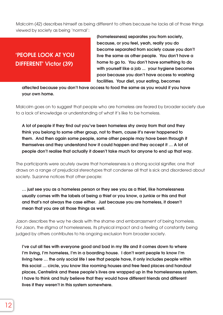Malcolm (42) describes himself as being different to others because he lacks all of those things viewed by society as being 'normal':

'PEOPLE LOOK AT YOU DIFFERENT' Victor (39)

[homelessness] separates you from society, because, or you feel, yeah, really you do become separated from society cause you don't live the same as other people. You don't have a home to go to. You don't have something to do with yourself like a job ... your hygiene becomes poor because you don't have access to washing facilities. Your diet, your eating, becomes

affected because you don't have access to food the same as you would if you have your own home.

Malcolm goes on to suggest that people who are homeless are feared by broader society due to a lack of knowledge or understanding of what it's like to be homeless.

A lot of people if they find out you've been homeless shy away from that and they think you belong to some other group, not to them, cause it's never happened to them. And then again some people, some other people may have been through it themselves and they understand how it could happen and they accept it … A lot of people don't realise that actually it doesn't take much for anyone to end up that way.

The participants were acutely aware that homelessness is a strong social signifier, one that draws on a range of prejudicial stereotypes that condense all that is sick and disordered about society. Suzanne notices that other people:

… just see you as a homeless person or they see you as a thief, like homelessness usually comes with the labels of being a thief or you know, a junkie or this and that and that's not always the case either. Just because you are homeless, it doesn't mean that you are all those things as well.

Jason describes the way he deals with the shame and embarrassment of being homeless. For Jason, the stigma of homelessness, its physical impact and a feeling of constantly being judged by others contributes to his ongoing exclusion from broader society.

I've cut all ties with everyone good and bad in my life and it comes down to where I'm living, I'm homeless, I'm in a boarding house. I don't want people to know I'm living here … the only social life I see that people have, it only includes people within this social … circle, you know like rooming houses and free feed places and handout places, Centrelink and these people's lives are wrapped up in the homelessness system. I have to think and truly believe that they would have different friends and different lives if they weren't in this system somewhere.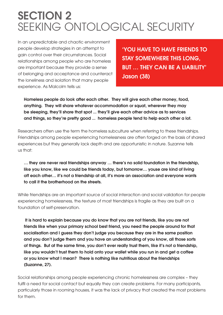### SECTION 2 SEEKING ONTOLOGICAL SECURITY

In an unpredictable and chaotic environment people develop strategies in an attempt to gain control over their circumstances. Social relationships among people who are homeless are important because they provide a sense of belonging and acceptance and counteract the loneliness and isolation that many people experience. As Malcolm tells us:

'YOU HAVE TO HAVE FRIENDS TO STAY SOMEWHERE THIS LONG, BUT … THEY CAN BE A LIABILITY' Jason (38)

Homeless people do look after each other. They will give each other money, food, anything. They will share whatever accommodation or squat, wherever they may be sleeping, they'll share that spot ... they'll give each other advice as to services and things, so they're pretty good ... homeless people tend to help each other a lot.

Researchers often use the term the homeless subculture when referring to these friendships. Friendships among people experiencing homelessness are often forged on the basis of shared experiences but they generally lack depth and are opportunistic in nature. Suzanne tells us that:

… they are never real friendships anyway … there's no solid foundation in the friendship, like you know, like we could be friends today, but tomorrow… youse are kind of living off each other… it's not a friendship at all, it's more an association and everyone wants to call it the brotherhood on the streets.

While friendships are an important source of social interaction and social validation for people experiencing homelessness, the texture of most friendships is fragile as they are built on a foundation of self-preservation.

 It is hard to explain because you do know that you are not friends, like you are not friends like when your primary school best friend, you need the people around for that socialisation and I guess they don't judge you because they are in the same position and you don't judge them and you have an understanding of you know, all those sorts of things. But at the same time, you don't ever really trust them, like it's not a friendship, like you wouldn't trust them to hold onto your wallet while you run in and get a coffee or you know what I mean? There is nothing like nutritious about the friendships (Suzanne, 27).

Social relationships among people experiencing chronic homelessness are complex – they fulfil a need for social contact but equally they can create problems. For many participants, particularly those in rooming houses, it was the lack of privacy that created the most problems for them.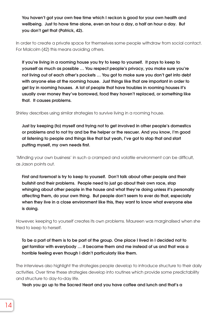You haven't got your own free time which I reckon is good for your own health and wellbeing. Just to have time alone, even an hour a day, a half an hour a day. But you don't get that (Patrick, 42).

In order to create a private space for themselves some people withdraw from social contact. For Malcolm (42) this means avoiding others.

If you're living in a rooming house you try to keep to yourself. It pays to keep to yourself as much as possible … You respect people's privacy, you make sure you're not living out of each other's pockets … You got to make sure you don't get into debt with anyone else at the rooming house. Just things like that are important in order to get by in rooming houses. A lot of people that have troubles in rooming houses it's usually over money they've borrowed, food they haven't replaced, or something like that. It causes problems.

Shirley describes using similar strategies to survive living in a rooming house.

Just by keeping [to] myself and trying not to get involved in other people's domestics or problems and to not try and be the helper or the rescuer. And you know, I'm good at listening to people and things like that but yeah, I've got to stop that and start putting myself, my own needs first.

'Minding your own business' in such a cramped and volatile environment can be difficult, as Jason points out.

First and foremost is try to keep to yourself. Don't talk about other people and their bullshit and their problems. People need to just go about their own race, stop whinging about other people in the house and what they're doing unless it's personally affecting them, do your own thing. But people don't seem to ever do that, especially when they live in a close environment like this, they want to know what everyone else is doing.

However, keeping to yourself creates its own problems. Maureen was marginalised when she tried to keep to herself.

To be a part of them is to be part of the group. One place I lived in I decided not to get familiar with everybody … it became them and me instead of us and that was a horrible feeling even though I didn't particularly like them.

The interviews also highlight the strategies people develop to introduce structure to their daily activities. Over time these strategies develop into routines which provide some predictability and structure to day-to-day life.

Yeah you go up to the Sacred Heart and you have coffee and lunch and that's a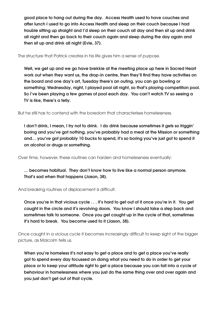good place to hang out during the day. Access Health used to have couches and after lunch I used to go into Access Health and sleep on their couch because I had trouble sitting up straight and I'd sleep on their couch all day and then sit up and drink all night and then go back to their couch again and sleep during the day again and then sit up and drink all night (Evie, 37).

The structure that Patrick creates in his life gives him a sense of purpose.

Well, we get up and we go have brekkie at the meeting place up here in Sacred Heart work out when they want us, the drop-in centre, then they'll find they have activities on the board and one day's art, Tuesday there's an outing, you can go bowling or something; Wednesday, night, I played pool all night, so that's playing competition pool. So I've been playing a few games of pool each day. You can't watch TV so seeing a TV is like, there's a telly.

But he still has to contend with the boredom that characterises homelessness.

I don't drink, I mean, I try not to drink. I do drink because sometimes it gets so friggin' boring and you've got nothing, you've probably had a meal at the Mission or something and… you've got probably 10 bucks to spend, it's so boring you've just got to spend it on alcohol or drugs or something.

Over time, however, these routines can harden and homelessness eventually:

… becomes habitual. They don't know how to live like a normal person anymore. That's sad when that happens (Jason, 38).

And breaking routines of displacement is difficult.

Once you're in that vicious cycle . . . it's hard to get out of it once you're in it. You get caught in the circle and it's revolving doors. You know I should take a step back and sometimes talk to someone. Once you get caught up in the cycle of that, sometimes it's hard to break. You become used to it (Jason, 38).

Once caught in a vicious cycle it becomes increasingly difficult to keep sight of the bigger picture, as Malcolm tells us.

When you're homeless it's not easy to get a place and to get a place you've really got to spend every day focussed on doing what you need to do in order to get your place or to keep your attitude right to get a place because you can fall into a cycle of behaviour in homelessness where you just do the same thing over and over again and you just don't get out of that cycle.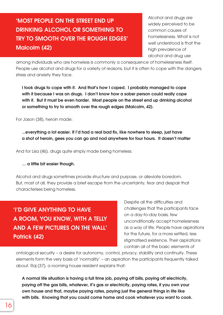### 'MOST PEOPLE ON THE STREET END UP DRINKING ALCOHOL OR SOMETHING TO TRY TO SMOOTH OVER THE ROUGH EDGES' Malcolm (42)

Alcohol and drugs are widely perceived to be common causes of homelessness. What is not well understood is that the high prevalence of alcohol and drug use

among individuals who are homeless is commonly a consequence of homelessness itself. People use alcohol and drugs for a variety of reasons, but it is often to cope with the dangers, stress and anxiety they face.

I took drugs to cope with it. And that's how I coped. I probably managed to cope with it because I was on drugs. I don't know how a sober person could really cope with it. But it must be even harder. Most people on the street end up drinking alcohol or something to try to smooth over the rough edges (Malcolm, 42).

For Jason (38), heroin made:

...everything a lot easier. If I'd had a real bad fix, like nowhere to sleep, just have a shot of heroin, gees you can go and nod anywhere for four hours. It doesn't matter

And for Lisa (46), drugs quite simply made being homeless:

#### … a little bit easier though.

Alcohol and drugs sometimes provide structure and purpose, or alleviate boredom. But, most of all, they provide a brief escape from the uncertainty, fear and despair that characterises being homeless.

'I'D GIVE ANYTHING TO HAVE A ROOM, YOU KNOW, WITH A TELLY AND A FEW PICTURES ON THE WALL' Patrick (42)

Despite all the difficulties and challenges that the participants face on a day-to-day basis, few unconditionally accept homelessness as a way of life. People have aspirations for the future, for a more settled, less stigmatised existence. Their aspirations contain all of the basic elements of

ontological security – a desire for autonomy, control, privacy, stability and continuity. These elements form the very basis of 'normality' – an aspiration the participants frequently talked about. Raj (37), a rooming house resident explains that:

A normal life situation is having a full time job, paying off bills, paying off electricity, paying off the gas bills, whatever, it's gas or electricity, paying rates, if you own your own house and that, maybe paying rates, paying just the general things in life like with bills. Knowing that you could come home and cook whatever you want to cook.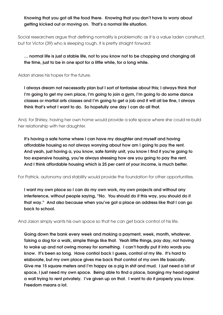Knowing that you got all the food there. Knowing that you don't have to worry about getting kicked out or moving on. That's a normal life situation.

Social researchers argue that defining normality is problematic as it is a value laden construct, but for Victor (39) who is sleeping rough, it is pretty straight forward:

… normal life is just a stable life, not to you know not to be chopping and changing all the time, just to be in one spot for a little while, for a long while.

Aidan shares his hopes for the future.

I always dream not necessarily plan but I sort of fantasise about this; I always think that I'm going to get my own place, I'm going to join a gym, I'm going to do some dance classes or martial arts classes and I'm going to get a job and it will all be fine, I always think that's what I want to do. So hopefully one day I can do all that.

And, for Shirley, having her own home would provide a safe space where she could re-build her relationship with her daughter.

It's having a safe home where I can have my daughter and myself and having affordable housing so not always worrying about how am I going to pay the rent. And yeah, just having a, you know, safe family unit, you know I find if you're going to too expensive housing, you're always stressing how are you going to pay the rent. And I think affordable housing which is 25 per cent of your income, is much better.

For Patrick, autonomy and stability would provide the foundation for other opportunities.

I want my own place so I can do my own work, my own projects and without any interference, without people saying, "No. You should do it this way, you should do it that way." And also because when you've got a place an address like that I can go back to school.

And Jason simply wants his own space so that he can get back control of his life.

Going down the bank every week and making a payment, week, month, whatever. Taking a dog for a walk, simple things like that. Yeah little things, pay day, not having to wake up and not owing money for something. I can't hardly put it into words you know. It's been so long. Have control back I guess, control of my life. It's hard to elaborate, but my own place gives me back that control of my own life basically. Give me 15 square meters and I'm happy as a pig in shit and mud. I just need a bit of space, I just need my own space. Being able to find a place, banging my head against a wall trying to rent privately. I've given up on that. I want to do it properly you know. Freedom means a lot.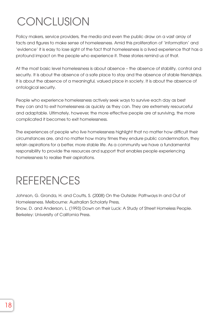# **CONCLUSION**

Policy makers, service providers, the media and even the public draw on a vast array of facts and figures to make sense of homelessness. Amid this proliferation of 'information' and 'evidence' it is easy to lose sight of the fact that homelessness is a lived experience that has a profound impact on the people who experience it. These stories remind us of that.

At the most basic level homelessness is about absence – the absence of stability, control and security. It is about the absence of a safe place to stay and the absence of stable friendships. It is about the absence of a meaningful, valued place in society. It is about the absence of ontological security.

People who experience homelessness actively seek ways to survive each day as best they can and to exit homelessness as quickly as they can. They are extremely resourceful and adaptable. Ultimately, however, the more effective people are at surviving, the more complicated it becomes to exit homelessness.

The experiences of people who live homelessness highlight that no matter how difficult their circumstances are, and no matter how many times they endure public condemnation, they retain aspirations for a better, more stable life. As a community we have a fundamental responsibility to provide the resources and support that enables people experiencing homelessness to realise their aspirations.

## REFERENCES

Johnson, G. Gronda, H. and Coutts, S. (2008) On the Outside: Pathways In and Out of Homelessness. Melbourne: Australian Scholarly Press,

Snow, D. and Anderson, L. (1993) Down on their Luck: A Study of Street Homeless People. Berkeley: University of California Press.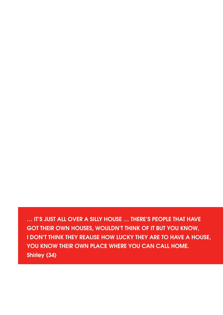… IT'S JUST ALL OVER A SILLY HOUSE … THERE'S PEOPLE THAT HAVE GOT THEIR OWN HOUSES, WOULDN'T THINK OF IT BUT YOU KNOW, I DON'T THINK THEY REALISE HOW LUCKY THEY ARE TO HAVE A HOUSE, YOU KNOW THEIR OWN PLACE WHERE YOU CAN CALL HOME. Shirley (34)